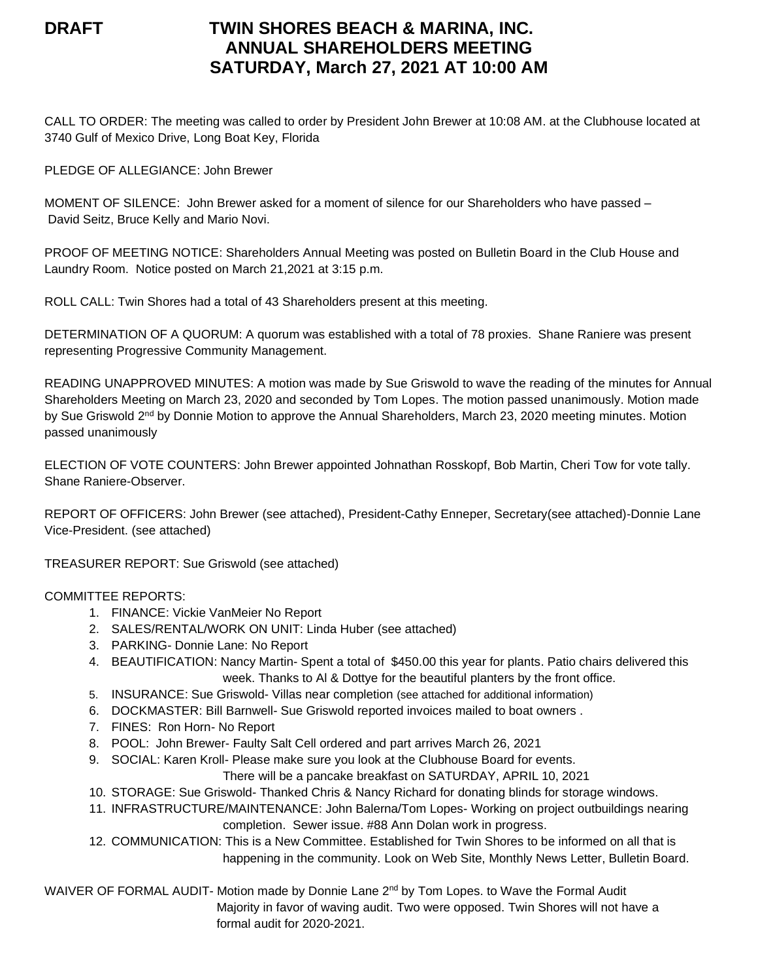# **DRAFT TWIN SHORES BEACH & MARINA, INC. ANNUAL SHAREHOLDERS MEETING SATURDAY, March 27, 2021 AT 10:00 AM**

CALL TO ORDER: The meeting was called to order by President John Brewer at 10:08 AM. at the Clubhouse located at 3740 Gulf of Mexico Drive, Long Boat Key, Florida

PLEDGE OF ALLEGIANCE: John Brewer

MOMENT OF SILENCE: John Brewer asked for a moment of silence for our Shareholders who have passed – David Seitz, Bruce Kelly and Mario Novi.

PROOF OF MEETING NOTICE: Shareholders Annual Meeting was posted on Bulletin Board in the Club House and Laundry Room. Notice posted on March 21,2021 at 3:15 p.m.

ROLL CALL: Twin Shores had a total of 43 Shareholders present at this meeting.

DETERMINATION OF A QUORUM: A quorum was established with a total of 78 proxies. Shane Raniere was present representing Progressive Community Management.

READING UNAPPROVED MINUTES: A motion was made by Sue Griswold to wave the reading of the minutes for Annual Shareholders Meeting on March 23, 2020 and seconded by Tom Lopes. The motion passed unanimously. Motion made by Sue Griswold 2<sup>nd</sup> by Donnie Motion to approve the Annual Shareholders, March 23, 2020 meeting minutes. Motion passed unanimously

ELECTION OF VOTE COUNTERS: John Brewer appointed Johnathan Rosskopf, Bob Martin, Cheri Tow for vote tally. Shane Raniere-Observer.

REPORT OF OFFICERS: John Brewer (see attached), President-Cathy Enneper, Secretary(see attached)-Donnie Lane Vice-President. (see attached)

TREASURER REPORT: Sue Griswold (see attached)

### COMMITTEE REPORTS:

- 1. FINANCE: Vickie VanMeier No Report
- 2. SALES/RENTAL/WORK ON UNIT: Linda Huber (see attached)
- 3. PARKING- Donnie Lane: No Report
- 4. BEAUTIFICATION: Nancy Martin- Spent a total of \$450.00 this year for plants. Patio chairs delivered this week. Thanks to Al & Dottye for the beautiful planters by the front office.
- 5. INSURANCE: Sue Griswold- Villas near completion (see attached for additional information)
- 6. DOCKMASTER: Bill Barnwell- Sue Griswold reported invoices mailed to boat owners .
- 7. FINES: Ron Horn- No Report
- 8. POOL: John Brewer- Faulty Salt Cell ordered and part arrives March 26, 2021
- 9. SOCIAL: Karen Kroll- Please make sure you look at the Clubhouse Board for events.

There will be a pancake breakfast on SATURDAY, APRIL 10, 2021

- 10. STORAGE: Sue Griswold- Thanked Chris & Nancy Richard for donating blinds for storage windows.
- 11. INFRASTRUCTURE/MAINTENANCE: John Balerna/Tom Lopes- Working on project outbuildings nearing completion. Sewer issue. #88 Ann Dolan work in progress.
- 12. COMMUNICATION: This is a New Committee. Established for Twin Shores to be informed on all that is happening in the community. Look on Web Site, Monthly News Letter, Bulletin Board.

WAIVER OF FORMAL AUDIT- Motion made by Donnie Lane 2<sup>nd</sup> by Tom Lopes. to Wave the Formal Audit Majority in favor of waving audit. Two were opposed. Twin Shores will not have a formal audit for 2020-2021.